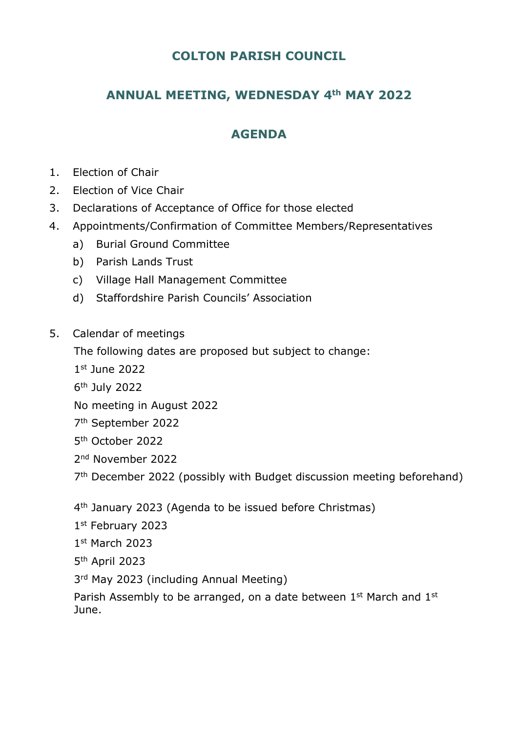## **COLTON PARISH COUNCIL**

# **ANNUAL MEETING, WEDNESDAY 4th MAY 2022**

## **AGENDA**

- 1. Election of Chair
- 2. Election of Vice Chair
- 3. Declarations of Acceptance of Office for those elected
- 4. Appointments/Confirmation of Committee Members/Representatives
	- a) Burial Ground Committee
	- b) Parish Lands Trust
	- c) Village Hall Management Committee
	- d) Staffordshire Parish Councils' Association
- 5. Calendar of meetings

The following dates are proposed but subject to change:

- 1 st June 2022
- 6 th July 2022
- No meeting in August 2022
- 7 th September 2022
- 5 th October 2022
- 2 nd November 2022

7<sup>th</sup> December 2022 (possibly with Budget discussion meeting beforehand)

- 4<sup>th</sup> January 2023 (Agenda to be issued before Christmas)
- 1 st February 2023
- 1 st March 2023
- 5 th April 2023
- 3<sup>rd</sup> May 2023 (including Annual Meeting)

Parish Assembly to be arranged, on a date between 1<sup>st</sup> March and 1<sup>st</sup> June.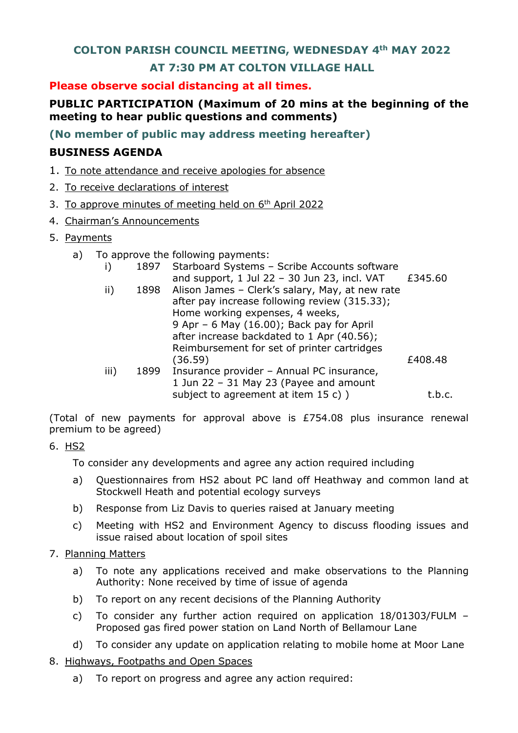### **COLTON PARISH COUNCIL MEETING, WEDNESDAY 4th MAY 2022**

### **AT 7:30 PM AT COLTON VILLAGE HALL**

**Please observe social distancing at all times.**

## **PUBLIC PARTICIPATION (Maximum of 20 mins at the beginning of the meeting to hear public questions and comments)**

**(No member of public may address meeting hereafter)**

## **BUSINESS AGENDA**

- 1. To note attendance and receive apologies for absence
- 2. To receive declarations of interest
- 3. To approve minutes of meeting held on 6<sup>th</sup> April 2022
- 4. Chairman's Announcements
- 5. Payments
	- a) To approve the following payments:

|      |      | $\sim$ apple to the following payments.              |         |
|------|------|------------------------------------------------------|---------|
| i)   | 1897 | Starboard Systems - Scribe Accounts software         |         |
|      |      | and support, $1$ Jul 22 - 30 Jun 23, incl. VAT       | £345.60 |
| ii)  |      | 1898 Alison James - Clerk's salary, May, at new rate |         |
|      |      | after pay increase following review (315.33);        |         |
|      |      | Home working expenses, 4 weeks,                      |         |
|      |      | 9 Apr - 6 May (16.00); Back pay for April            |         |
|      |      | after increase backdated to 1 Apr (40.56);           |         |
|      |      | Reimbursement for set of printer cartridges          |         |
|      |      | (36.59)                                              | £408.48 |
| iii) | 1899 | Insurance provider - Annual PC insurance,            |         |
|      |      |                                                      |         |

1 Jun 22 – 31 May 23 (Payee and amount subject to agreement at item  $15 c$ ) <br>t.b.c.

(Total of new payments for approval above is £754.08 plus insurance renewal premium to be agreed)

### 6. HS2

To consider any developments and agree any action required including

- a) Questionnaires from HS2 about PC land off Heathway and common land at Stockwell Heath and potential ecology surveys
- b) Response from Liz Davis to queries raised at January meeting
- c) Meeting with HS2 and Environment Agency to discuss flooding issues and issue raised about location of spoil sites
- 7. Planning Matters
	- a) To note any applications received and make observations to the Planning Authority: None received by time of issue of agenda
	- b) To report on any recent decisions of the Planning Authority
	- c) To consider any further action required on application 18/01303/FULM Proposed gas fired power station on Land North of Bellamour Lane
	- d) To consider any update on application relating to mobile home at Moor Lane
- 8. Highways, Footpaths and Open Spaces
	- a) To report on progress and agree any action required: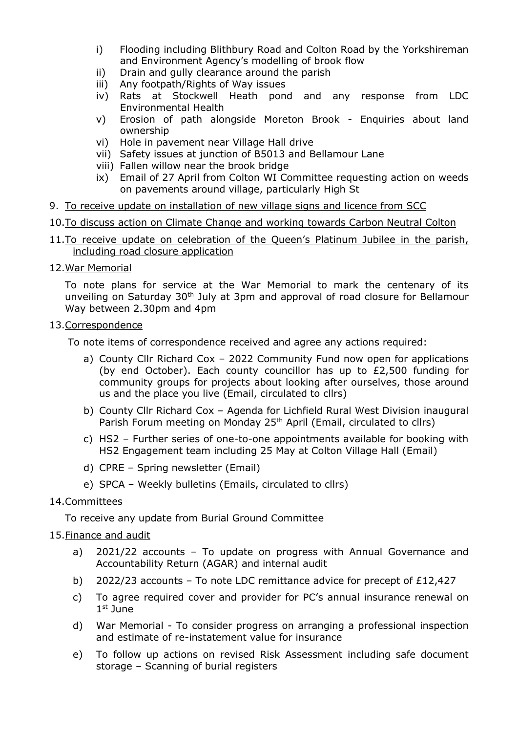- i) Flooding including Blithbury Road and Colton Road by the Yorkshireman and Environment Agency's modelling of brook flow
- ii) Drain and gully clearance around the parish
- iii) Any footpath/Rights of Way issues
- iv) Rats at Stockwell Heath pond and any response from LDC Environmental Health
- v) Erosion of path alongside Moreton Brook Enquiries about land ownership
- vi) Hole in pavement near Village Hall drive
- vii) Safety issues at junction of B5013 and Bellamour Lane
- viii) Fallen willow near the brook bridge
- ix) Email of 27 April from Colton WI Committee requesting action on weeds on pavements around village, particularly High St
- 9. To receive update on installation of new village signs and licence from SCC
- 10.To discuss action on Climate Change and working towards Carbon Neutral Colton
- 11. To receive update on celebration of the Queen's Platinum Jubilee in the parish, including road closure application
- 12.War Memorial

To note plans for service at the War Memorial to mark the centenary of its unveiling on Saturday 30<sup>th</sup> July at 3pm and approval of road closure for Bellamour Way between 2.30pm and 4pm

#### 13.Correspondence

To note items of correspondence received and agree any actions required:

- a) County Cllr Richard Cox 2022 Community Fund now open for applications (by end October). Each county councillor has up to £2,500 funding for community groups for projects about looking after ourselves, those around us and the place you live (Email, circulated to cllrs)
- b) County Cllr Richard Cox Agenda for Lichfield Rural West Division inaugural Parish Forum meeting on Monday 25<sup>th</sup> April (Email, circulated to cllrs)
- c) HS2 Further series of one-to-one appointments available for booking with HS2 Engagement team including 25 May at Colton Village Hall (Email)
- d) CPRE Spring newsletter (Email)
- e) SPCA Weekly bulletins (Emails, circulated to cllrs)

### 14.Committees

To receive any update from Burial Ground Committee

### 15.Finance and audit

- a) 2021/22 accounts To update on progress with Annual Governance and Accountability Return (AGAR) and internal audit
- b) 2022/23 accounts To note LDC remittance advice for precept of £12,427
- c) To agree required cover and provider for PC's annual insurance renewal on 1 st June
- d) War Memorial To consider progress on arranging a professional inspection and estimate of re-instatement value for insurance
- e) To follow up actions on revised Risk Assessment including safe document storage – Scanning of burial registers